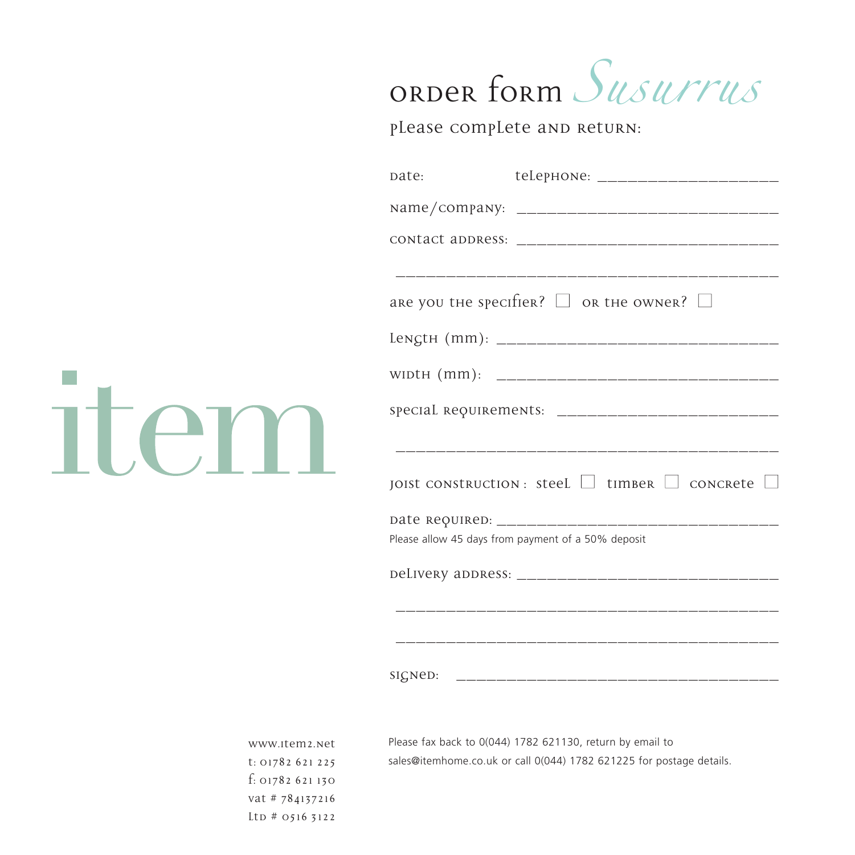## order form Jusurrus

please complete and return:

|                                                                                              | teLepHONe: _______________________<br>date:                                                                                       |
|----------------------------------------------------------------------------------------------|-----------------------------------------------------------------------------------------------------------------------------------|
|                                                                                              |                                                                                                                                   |
|                                                                                              |                                                                                                                                   |
|                                                                                              | are you the specifier? $\Box$ or the owner? $\Box$                                                                                |
|                                                                                              | JOIST CONSTRUCTION : Steel $\Box$ timber $\Box$ concrete $\Box$                                                                   |
|                                                                                              |                                                                                                                                   |
|                                                                                              | Please allow 45 days from payment of a 50% deposit                                                                                |
|                                                                                              |                                                                                                                                   |
|                                                                                              |                                                                                                                                   |
|                                                                                              |                                                                                                                                   |
| www.item2.net<br>t: 01782 621 225<br>f: 01782621130<br>vat # 784137216<br>$Ltp \# 0516 5122$ | Please fax back to 0(044) 1782 621130, return by email to<br>sales@itemhome.co.uk or call 0(044) 1782 621225 for postage details. |